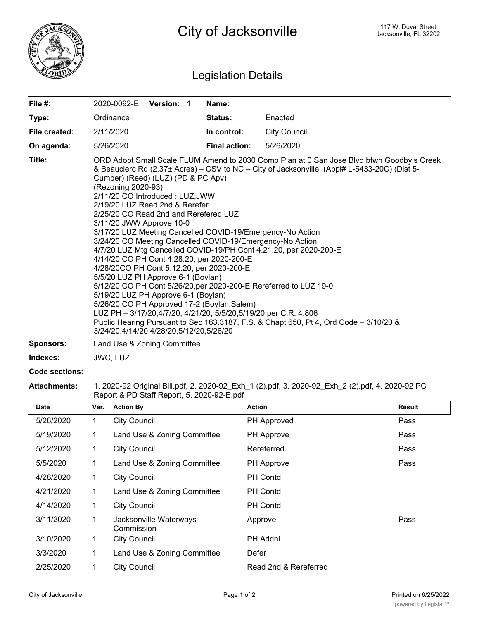

## Legislation Details

| File #:          | 2020-0092-E                                                                                                                                                                                                                                                                                                                                                                                                                                                                                                                                                                                                                                                                                                                                                                                                                                                                                                                                                                                                                                             | <b>Version: 1</b> |  | Name:                |                     |
|------------------|---------------------------------------------------------------------------------------------------------------------------------------------------------------------------------------------------------------------------------------------------------------------------------------------------------------------------------------------------------------------------------------------------------------------------------------------------------------------------------------------------------------------------------------------------------------------------------------------------------------------------------------------------------------------------------------------------------------------------------------------------------------------------------------------------------------------------------------------------------------------------------------------------------------------------------------------------------------------------------------------------------------------------------------------------------|-------------------|--|----------------------|---------------------|
| Type:            | Ordinance                                                                                                                                                                                                                                                                                                                                                                                                                                                                                                                                                                                                                                                                                                                                                                                                                                                                                                                                                                                                                                               |                   |  | <b>Status:</b>       | Enacted             |
| File created:    | 2/11/2020                                                                                                                                                                                                                                                                                                                                                                                                                                                                                                                                                                                                                                                                                                                                                                                                                                                                                                                                                                                                                                               |                   |  | In control:          | <b>City Council</b> |
| On agenda:       | 5/26/2020                                                                                                                                                                                                                                                                                                                                                                                                                                                                                                                                                                                                                                                                                                                                                                                                                                                                                                                                                                                                                                               |                   |  | <b>Final action:</b> | 5/26/2020           |
| Title:           | ORD Adopt Small Scale FLUM Amend to 2030 Comp Plan at 0 San Jose Blvd btwn Goodby's Creek<br>& Beauclerc Rd (2.37± Acres) – CSV to NC – City of Jacksonville. (Appl# L-5433-20C) (Dist 5-<br>Cumber) (Reed) (LUZ) (PD & PC Apv)<br>(Rezoning 2020-93)<br>2/11/20 CO Introduced: LUZ, JWW<br>2/19/20 LUZ Read 2nd & Rerefer<br>2/25/20 CO Read 2nd and Rerefered;LUZ<br>3/11/20 JWW Approve 10-0<br>3/17/20 LUZ Meeting Cancelled COVID-19/Emergency-No Action<br>3/24/20 CO Meeting Cancelled COVID-19/Emergency-No Action<br>4/7/20 LUZ Mtg Cancelled COVID-19/PH Cont 4.21.20, per 2020-200-E<br>4/14/20 CO PH Cont 4.28.20, per 2020-200-E<br>4/28/20CO PH Cont 5.12.20, per 2020-200-E<br>5/5/20 LUZ PH Approve 6-1 (Boylan)<br>5/12/20 CO PH Cont 5/26/20, per 2020-200-E Rereferred to LUZ 19-0<br>5/19/20 LUZ PH Approve 6-1 (Boylan)<br>5/26/20 CO PH Approved 17-2 (Boylan, Salem)<br>LUZ PH - 3/17/20,4/7/20, 4/21/20, 5/5/20,5/19/20 per C.R. 4.806<br>Public Hearing Pursuant to Sec 163.3187, F.S. & Chapt 650, Pt 4, Ord Code - 3/10/20 & |                   |  |                      |                     |
| <b>Sponsors:</b> | Land Use & Zoning Committee                                                                                                                                                                                                                                                                                                                                                                                                                                                                                                                                                                                                                                                                                                                                                                                                                                                                                                                                                                                                                             |                   |  |                      |                     |
| Indexes:         | JWC, LUZ                                                                                                                                                                                                                                                                                                                                                                                                                                                                                                                                                                                                                                                                                                                                                                                                                                                                                                                                                                                                                                                |                   |  |                      |                     |

## **Code sections:**

## **Attachments:** 1. 2020-92 Original Bill.pdf, 2. 2020-92\_Exh\_1 (2).pdf, 3. 2020-92\_Exh\_2 (2).pdf, 4. 2020-92 PC Report & PD Staff Report, 5. 2020-92-E.pdf

| <b>Date</b> | Ver.        | <b>Action By</b>                     | <b>Action</b>         | <b>Result</b> |
|-------------|-------------|--------------------------------------|-----------------------|---------------|
| 5/26/2020   | 1           | <b>City Council</b>                  | PH Approved           | Pass          |
| 5/19/2020   | 1           | Land Use & Zoning Committee          | PH Approve            | Pass          |
| 5/12/2020   | 1           | <b>City Council</b>                  | Rereferred            | Pass          |
| 5/5/2020    | 1           | Land Use & Zoning Committee          | PH Approve            | Pass          |
| 4/28/2020   | 1           | <b>City Council</b>                  | <b>PH Contd</b>       |               |
| 4/21/2020   | 1           | Land Use & Zoning Committee          | <b>PH Contd</b>       |               |
| 4/14/2020   | 1           | <b>City Council</b>                  | <b>PH Contd</b>       |               |
| 3/11/2020   | $\mathbf 1$ | Jacksonville Waterways<br>Commission | Approve               | Pass          |
| 3/10/2020   | 1           | <b>City Council</b>                  | PH Addnl              |               |
| 3/3/2020    | $\mathbf 1$ | Land Use & Zoning Committee          | Defer                 |               |
| 2/25/2020   | 1           | <b>City Council</b>                  | Read 2nd & Rereferred |               |